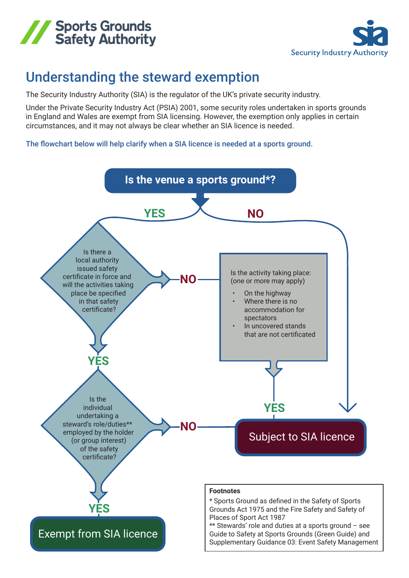



## Understanding the steward exemption

The Security Industry Authority (SIA) is the regulator of the UK's private security industry.

Under the Private Security Industry Act (PSIA) 2001, some security roles undertaken in sports grounds in England and Wales are exempt from SIA licensing. However, the exemption only applies in certain circumstances, and it may not always be clear whether an SIA licence is needed.

The flowchart below will help clarify when a SIA licence is needed at a sports ground.